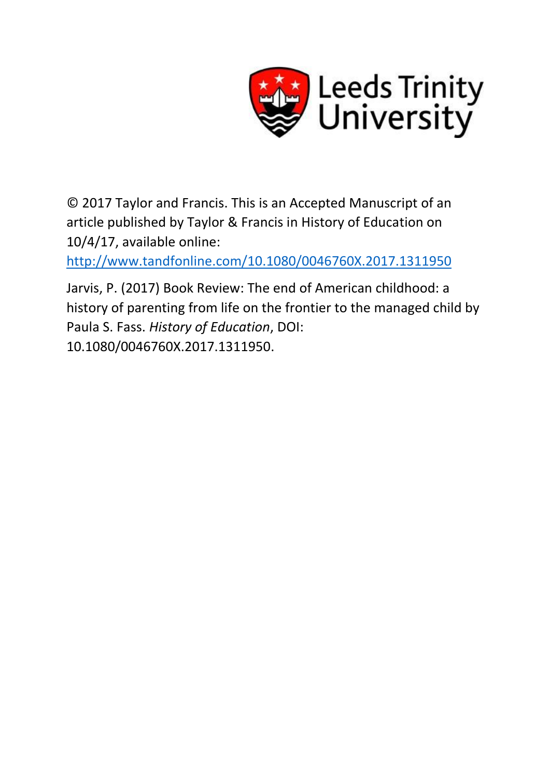

© 2017 Taylor and Francis. This is an Accepted Manuscript of an article published by Taylor & Francis in History of Education on 10/4/17, available online:

<http://www.tandfonline.com/10.1080/0046760X.2017.1311950>

Jarvis, P. (2017) Book Review: The end of American childhood: a history of parenting from life on the frontier to the managed child by Paula S. Fass. *History of Education*, DOI: 10.1080/0046760X.2017.1311950.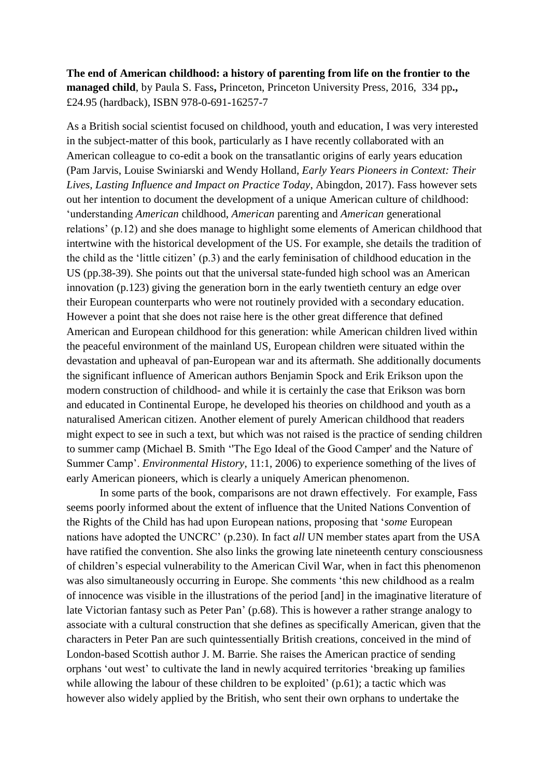## **The end of American childhood: a history of parenting from life on the frontier to the managed child**, by Paula S. Fass**,** Princeton, Princeton University Press, 2016, 334 pp**.,**  £24.95 (hardback), ISBN 978-0-691-16257-7

As a British social scientist focused on childhood, youth and education, I was very interested in the subject-matter of this book, particularly as I have recently collaborated with an American colleague to co-edit a book on the transatlantic origins of early years education (Pam Jarvis, Louise Swiniarski and Wendy Holland, *Early Years Pioneers in Context: Their Lives, Lasting Influence and Impact on Practice Today*, Abingdon, 2017). Fass however sets out her intention to document the development of a unique American culture of childhood: 'understanding *American* childhood, *American* parenting and *American* generational relations' (p.12) and she does manage to highlight some elements of American childhood that intertwine with the historical development of the US. For example, she details the tradition of the child as the 'little citizen' (p.3) and the early feminisation of childhood education in the US (pp.38-39). She points out that the universal state-funded high school was an American innovation (p.123) giving the generation born in the early twentieth century an edge over their European counterparts who were not routinely provided with a secondary education. However a point that she does not raise here is the other great difference that defined American and European childhood for this generation: while American children lived within the peaceful environment of the mainland US, European children were situated within the devastation and upheaval of pan-European war and its aftermath. She additionally documents the significant influence of American authors Benjamin Spock and Erik Erikson upon the modern construction of childhood- and while it is certainly the case that Erikson was born and educated in Continental Europe, he developed his theories on childhood and youth as a naturalised American citizen. Another element of purely American childhood that readers might expect to see in such a text, but which was not raised is the practice of sending children to summer camp (Michael B. Smith ''The Ego Ideal of the Good Camper' and the Nature of Summer Camp'. *Environmental History*, 11:1, 2006) to experience something of the lives of early American pioneers, which is clearly a uniquely American phenomenon.

In some parts of the book, comparisons are not drawn effectively. For example, Fass seems poorly informed about the extent of influence that the United Nations Convention of the Rights of the Child has had upon European nations, proposing that '*some* European nations have adopted the UNCRC' (p.230). In fact *all* UN member states apart from the USA have ratified the convention. She also links the growing late nineteenth century consciousness of children's especial vulnerability to the American Civil War, when in fact this phenomenon was also simultaneously occurring in Europe. She comments 'this new childhood as a realm of innocence was visible in the illustrations of the period [and] in the imaginative literature of late Victorian fantasy such as Peter Pan' (p.68). This is however a rather strange analogy to associate with a cultural construction that she defines as specifically American, given that the characters in Peter Pan are such quintessentially British creations, conceived in the mind of London-based Scottish author J. M. Barrie. She raises the American practice of sending orphans 'out west' to cultivate the land in newly acquired territories 'breaking up families while allowing the labour of these children to be exploited' (p.61); a tactic which was however also widely applied by the British, who sent their own orphans to undertake the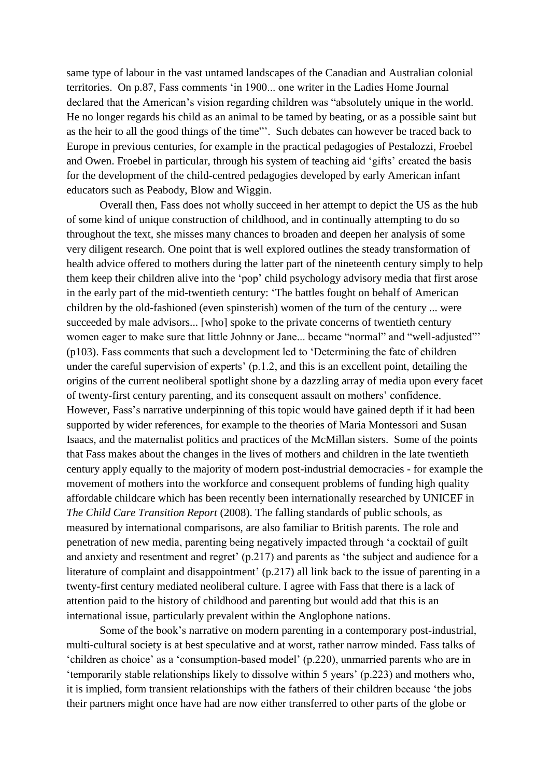same type of labour in the vast untamed landscapes of the Canadian and Australian colonial territories. On p.87, Fass comments 'in 1900... one writer in the Ladies Home Journal declared that the American's vision regarding children was "absolutely unique in the world. He no longer regards his child as an animal to be tamed by beating, or as a possible saint but as the heir to all the good things of the time"'. Such debates can however be traced back to Europe in previous centuries, for example in the practical pedagogies of Pestalozzi, Froebel and Owen. Froebel in particular, through his system of teaching aid 'gifts' created the basis for the development of the child-centred pedagogies developed by early American infant educators such as Peabody, Blow and Wiggin.

Overall then, Fass does not wholly succeed in her attempt to depict the US as the hub of some kind of unique construction of childhood, and in continually attempting to do so throughout the text, she misses many chances to broaden and deepen her analysis of some very diligent research. One point that is well explored outlines the steady transformation of health advice offered to mothers during the latter part of the nineteenth century simply to help them keep their children alive into the 'pop' child psychology advisory media that first arose in the early part of the mid-twentieth century: 'The battles fought on behalf of American children by the old-fashioned (even spinsterish) women of the turn of the century ... were succeeded by male advisors... [who] spoke to the private concerns of twentieth century women eager to make sure that little Johnny or Jane... became "normal" and "well-adjusted"' (p103). Fass comments that such a development led to 'Determining the fate of children under the careful supervision of experts' (p.1.2, and this is an excellent point, detailing the origins of the current neoliberal spotlight shone by a dazzling array of media upon every facet of twenty-first century parenting, and its consequent assault on mothers' confidence. However, Fass's narrative underpinning of this topic would have gained depth if it had been supported by wider references, for example to the theories of Maria Montessori and Susan Isaacs, and the maternalist politics and practices of the McMillan sisters. Some of the points that Fass makes about the changes in the lives of mothers and children in the late twentieth century apply equally to the majority of modern post-industrial democracies - for example the movement of mothers into the workforce and consequent problems of funding high quality affordable childcare which has been recently been internationally researched by UNICEF in *The Child Care Transition Report* (2008). The falling standards of public schools, as measured by international comparisons, are also familiar to British parents. The role and penetration of new media, parenting being negatively impacted through 'a cocktail of guilt and anxiety and resentment and regret' (p.217) and parents as 'the subject and audience for a literature of complaint and disappointment' (p.217) all link back to the issue of parenting in a twenty-first century mediated neoliberal culture. I agree with Fass that there is a lack of attention paid to the history of childhood and parenting but would add that this is an international issue, particularly prevalent within the Anglophone nations.

Some of the book's narrative on modern parenting in a contemporary post-industrial, multi-cultural society is at best speculative and at worst, rather narrow minded. Fass talks of 'children as choice' as a 'consumption-based model' (p.220), unmarried parents who are in 'temporarily stable relationships likely to dissolve within 5 years' (p.223) and mothers who, it is implied, form transient relationships with the fathers of their children because 'the jobs their partners might once have had are now either transferred to other parts of the globe or